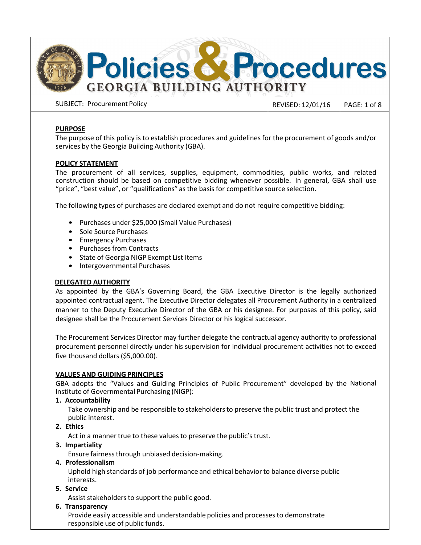

SUBJECT: Procurement Policy Revision Control 2009 | REVISED: 12/01/16 | PAGE: 1 of 8

## **PURPOSE**

The purpose of this policy is to establish procedures and guidelines for the procurement of goods and/or services by the Georgia Building Authority (GBA).

# **POLICY STATEMENT**

The procurement of all services, supplies, equipment, commodities, public works, and related construction should be based on competitive bidding whenever possible. In general, GBA shall use "price", "best value", or "qualifications" as the basis for competitive source selection.

The following types of purchases are declared exempt and do not require competitive bidding:

- Purchases under \$25,000 (Small Value Purchases)
- Sole Source Purchases
- Emergency Purchases
- Purchases from Contracts
- State of Georgia NIGP Exempt List Items
- Intergovernmental Purchases

## **DELEGATED AUTHORITY**

As appointed by the GBA's Governing Board, the GBA Executive Director is the legally authorized appointed contractual agent. The Executive Director delegates all Procurement Authority in a centralized manner to the Deputy Executive Director of the GBA or his designee. For purposes of this policy, said designee shall be the Procurement Services Director or his logical successor.

The Procurement Services Director may further delegate the contractual agency authority to professional procurement personnel directly under his supervision for individual procurement activities not to exceed five thousand dollars (\$5,000.00).

## **VALUES AND GUIDING PRINCIPLES**

GBA adopts the "Values and Guiding Principles of Public Procurement" developed by the National Institute of Governmental Purchasing (NIGP):

**1. Accountability**

Take ownership and be responsible to stakeholders to preserve the public trust and protect the public interest.

**2. Ethics**

Act in a manner true to these values to preserve the public's trust.

**3. Impartiality**

Ensure fairness through unbiased decision-making.

## **4. Professionalism**

Uphold high standards of job performance and ethical behavior to balance diverse public interests.

- **5. Service**
	- Assist stakeholders to support the public good.

## **6. Transparency**

Provide easily accessible and understandable policies and processes to demonstrate responsible use of public funds.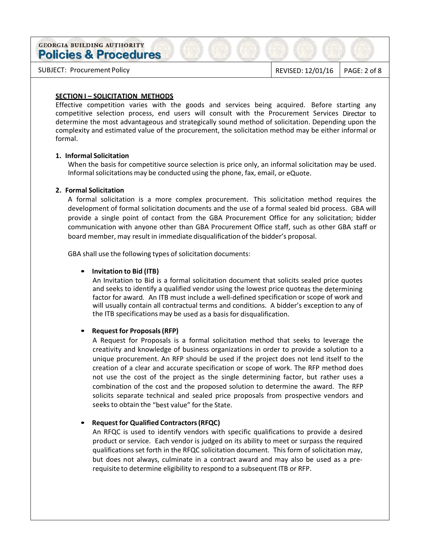SUBJECT: Procurement Policy **REVISED: 12/01/16** PAGE: 2 of 8

### **SECTION I – SOLICITATION METHODS**

Effective competition varies with the goods and services being acquired. Before starting any competitive selection process, end users will consult with the Procurement Services Director to determine the most advantageous and strategically sound method of solicitation. Depending upon the complexity and estimated value of the procurement, the solicitation method may be either informal or formal.

## **1. Informal Solicitation**

When the basis for competitive source selection is price only, an informal solicitation may be used. Informal solicitations may be conducted using the phone, fax, email, or eQuote.

### **2. Formal Solicitation**

A formal solicitation is a more complex procurement. This solicitation method requires the development of formal solicitation documents and the use of a formal sealed bid process. GBA will provide a single point of contact from the GBA Procurement Office for any solicitation; bidder communication with anyone other than GBA Procurement Office staff, such as other GBA staff or board member, may result in immediate disqualification of the bidder's proposal.

GBA shall use the following types of solicitation documents:

## • **Invitation to Bid (ITB)**

An Invitation to Bid is a formal solicitation document that solicits sealed price quotes and seeks to identify a qualified vendor using the lowest price quoteas the determining factor for award. An ITB must include a well-defined specification or scope of work and will usually contain all contractual terms and conditions. A bidder's exception to any of the ITB specifications may be used as a basis for disqualification.

## • **Request for Proposals (RFP)**

A Request for Proposals is a formal solicitation method that seeks to leverage the creativity and knowledge of business organizations in order to provide a solution to a unique procurement. An RFP should be used if the project does not lend itself to the creation of a clear and accurate specification or scope of work. The RFP method does not use the cost of the project as the single determining factor, but rather uses a combination of the cost and the proposed solution to determine the award. The RFP solicits separate technical and sealed price proposals from prospective vendors and seeks to obtain the "best value" for the State.

## • **Request for Qualified Contractors (RFQC)**

An RFQC is used to identify vendors with specific qualifications to provide a desired product or service. Each vendor is judged on its ability to meet or surpass the required qualifications set forth in the RFQC solicitation document. This form of solicitation may, but does not always, culminate in a contract award and may also be used as a prerequisite to determine eligibility to respond to a subsequent ITB or RFP.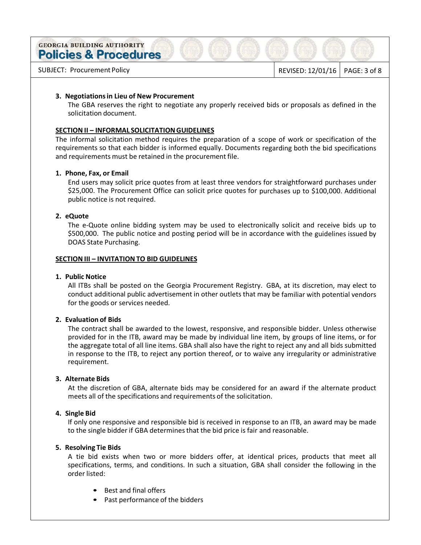SUBJECT: Procurement Policy **REVISED: 12/01/16** PAGE: 3 of 8

### **3. Negotiations in Lieu of New Procurement**

The GBA reserves the right to negotiate any properly received bids or proposals as defined in the solicitation document.

## **SECTION II – INFORMAL SOLICITATION GUIDELINES**

The informal solicitation method requires the preparation of a scope of work or specification of the requirements so that each bidder is informed equally. Documents regarding both the bid specifications and requirements must be retained in the procurement file.

#### **1. Phone, Fax, or Email**

End users may solicit price quotes from at least three vendors for straightforward purchases under \$25,000. The Procurement Office can solicit price quotes for purchases up to \$100,000. Additional public notice is not required.

### **2. eQuote**

The e-Quote online bidding system may be used to electronically solicit and receive bids up to \$500,000. The public notice and posting period will be in accordance with the guidelines issued by DOAS State Purchasing.

#### **SECTION III – INVITATION TO BID GUIDELINES**

#### **1. Public Notice**

All ITBs shall be posted on the Georgia Procurement Registry. GBA, at its discretion, may elect to conduct additional public advertisement in other outlets that may be familiar with potential vendors for the goods or services needed.

#### **2. Evaluation of Bids**

The contract shall be awarded to the lowest, responsive, and responsible bidder. Unless otherwise provided for in the ITB, award may be made by individual line item, by groups of line items, or for the aggregate total of all line items. GBA shall also have the right to reject any and all bids submitted in response to the ITB, to reject any portion thereof, or to waive any irregularity or administrative requirement.

#### **3. Alternate Bids**

At the discretion of GBA, alternate bids may be considered for an award if the alternate product meets all of the specifications and requirements of the solicitation.

## **4. Single Bid**

If only one responsive and responsible bid is received in response to an ITB, an award may be made to the single bidder if GBA determines that the bid price is fair and reasonable.

#### **5. Resolving Tie Bids**

A tie bid exists when two or more bidders offer, at identical prices, products that meet all specifications, terms, and conditions. In such a situation, GBA shall consider the following in the order listed:

- Best and final offers
- Past performance of the bidders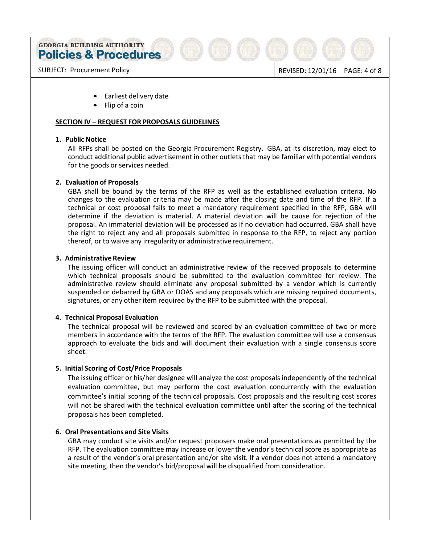SUBJECT: Procurement Policy and SUBJECT: Procurement Policy and American contract to the REVISED: 12/01/16 PAGE: 4 of 8

- Earliest delivery date
- Flip of a coin

### **SECTION IV – REQUEST FOR PROPOSALS GUIDELINES**

### **1. Public Notice**

All RFPs shall be posted on the Georgia Procurement Registry. GBA, at its discretion, may elect to conduct additional public advertisement in other outlets that may be familiar with potential vendors for the goods or services needed.

### **2. Evaluation of Proposals**

GBA shall be bound by the terms of the RFP as well as the established evaluation criteria. No changes to the evaluation criteria may be made after the closing date and time of the RFP. If a technical or cost proposal fails to meet a mandatory requirement specified in the RFP, GBA will determine if the deviation is material. A material deviation will be cause for rejection of the proposal. An immaterial deviation will be processed as if no deviation had occurred. GBA shall have the right to reject any and all proposals submitted in response to the RFP, to reject any portion thereof, or to waive any irregularity or administrative requirement.

### **3. Administrative Review**

The issuing officer will conduct an administrative review of the received proposals to determine which technical proposals should be submitted to the evaluation committee for review. The administrative review should eliminate any proposal submitted by a vendor which is currently suspended or debarred by GBA or DOAS and any proposals which are missing required documents, signatures, or any other item required by the RFP to be submitted with the proposal.

## **4. Technical Proposal Evaluation**

The technical proposal will be reviewed and scored by an evaluation committee of two or more members in accordance with the terms of the RFP. The evaluation committee will use a consensus approach to evaluate the bids and will document their evaluation with a single consensus score sheet.

## **5. Initial Scoring of Cost/Price Proposals**

The issuing officer or his/her designee will analyze the cost proposals independently of the technical evaluation committee, but may perform the cost evaluation concurrently with the evaluation committee's initial scoring of the technical proposals. Cost proposals and the resulting cost scores will not be shared with the technical evaluation committee until after the scoring of the technical proposals has been completed.

#### **6. Oral Presentations and Site Visits**

GBA may conduct site visits and/or request proposers make oral presentations as permitted by the RFP. The evaluation committee may increase or lower the vendor's technical score as appropriate as a result of the vendor's oral presentation and/or site visit. If a vendor does not attend a mandatory site meeting, then the vendor's bid/proposal will be disqualified from consideration.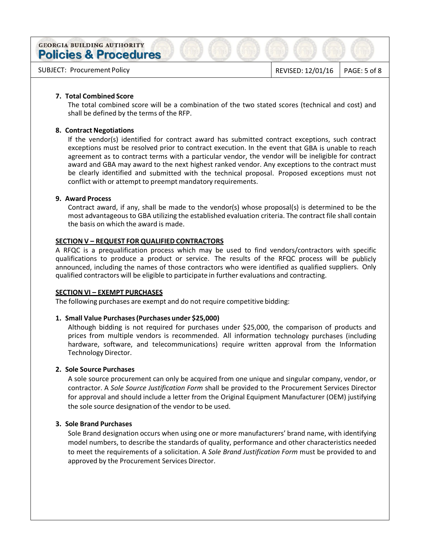SUBJECT: Procurement Policy and Subsetsion of the REVISED: 12/01/16 PAGE: 5 of 8

### **7. Total Combined Score**

The total combined score will be a combination of the two stated scores (technical and cost) and shall be defined by the terms of the RFP.

## **8. Contract Negotiations**

If the vendor(s) identified for contract award has submitted contract exceptions, such contract exceptions must be resolved prior to contract execution. In the event that GBA is unable to reach agreement as to contract terms with a particular vendor, the vendor will be ineligible for contract award and GBA may award to the next highest ranked vendor. Any exceptions to the contract must be clearly identified and submitted with the technical proposal. Proposed exceptions must not conflict with or attempt to preempt mandatory requirements.

### **9. Award Process**

Contract award, if any, shall be made to the vendor(s) whose proposal(s) is determined to be the most advantageous to GBA utilizing the established evaluation criteria. The contract file shall contain the basis on which the award is made.

### **SECTION V – REQUEST FOR QUALIFIED CONTRACTORS**

A RFQC is a prequalification process which may be used to find vendors/contractors with specific qualifications to produce a product or service. The results of the RFQC process will be publicly announced, including the names of those contractors who were identified as qualified suppliers. Only qualified contractors will be eligible to participate in further evaluations and contracting.

#### **SECTION VI – EXEMPT PURCHASES**

The following purchases are exempt and do not require competitive bidding:

## **1. Small Value Purchases (Purchases under \$25,000)**

Although bidding is not required for purchases under \$25,000, the comparison of products and prices from multiple vendors is recommended. All information technology purchases (including hardware, software, and telecommunications) require written approval from the Information Technology Director.

## **2. Sole Source Purchases**

A sole source procurement can only be acquired from one unique and singular company, vendor, or contractor. A *Sole Source Justification Form* shall be provided to the Procurement Services Director for approval and should include a letter from the Original Equipment Manufacturer (OEM) justifying the sole source designation of the vendor to be used.

# **3. Sole Brand Purchases**

Sole Brand designation occurs when using one or more manufacturers' brand name, with identifying model numbers, to describe the standards of quality, performance and other characteristics needed to meet the requirements of a solicitation. A *Sole Brand Justification Form* must be provided to and approved by the Procurement Services Director.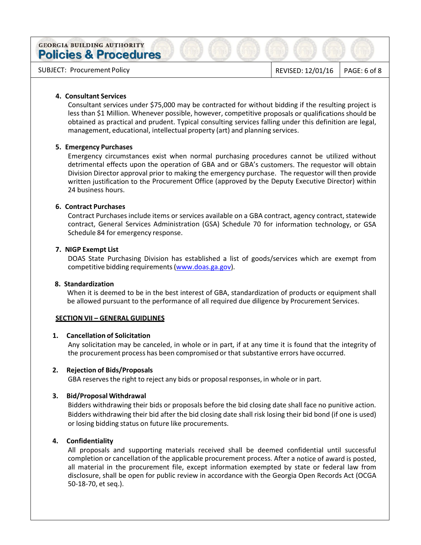SUBJECT: Procurement Policy and SUBJECT: Procurement Policy

#### **4. Consultant Services**

Consultant services under \$75,000 may be contracted for without bidding if the resulting project is less than \$1 Million. Whenever possible, however, competitive proposals or qualifications should be obtained as practical and prudent. Typical consulting services falling under this definition are legal, management, educational, intellectual property (art) and planning services.

## **5. Emergency Purchases**

Emergency circumstances exist when normal purchasing procedures cannot be utilized without detrimental effects upon the operation of GBA and or GBA's customers. The requestor will obtain Division Director approval prior to making the emergency purchase. The requestor will then provide written justification to the Procurement Office (approved by the Deputy Executive Director) within 24 business hours.

### **6. Contract Purchases**

Contract Purchases include items or services available on a GBA contract, agency contract, statewide contract, General Services Administration (GSA) Schedule 70 for information technology, or GSA Schedule 84 for emergency response.

### **7. NIGP Exempt List**

DOAS State Purchasing Division has established a list of goods/services which are exempt from competitive bidding requirements (www.doas.ga.gov).

### **8. Standardization**

When it is deemed to be in the best interest of GBA, standardization of products or equipment shall be allowed pursuant to the performance of all required due diligence by Procurement Services.

## **SECTION VII – GENERAL GUIDLINES**

#### **1. Cancellation of Solicitation**

Any solicitation may be canceled, in whole or in part, if at any time it is found that the integrity of the procurement process has been compromised or that substantive errors have occurred.

#### **2. Rejection of Bids/Proposals**

GBA reserves the right to reject any bids or proposal responses, in whole or in part.

## **3. Bid/Proposal Withdrawal**

Bidders withdrawing their bids or proposals before the bid closing date shall face no punitive action. Bidders withdrawing their bid after the bid closing date shall risk losing their bid bond (if one is used) or losing bidding status on future like procurements.

## **4. Confidentiality**

All proposals and supporting materials received shall be deemed confidential until successful completion or cancellation of the applicable procurement process. After a notice of award is posted, all material in the procurement file, except information exempted by state or federal law from disclosure, shall be open for public review in accordance with the Georgia Open Records Act (OCGA 50-18-70, et seq.).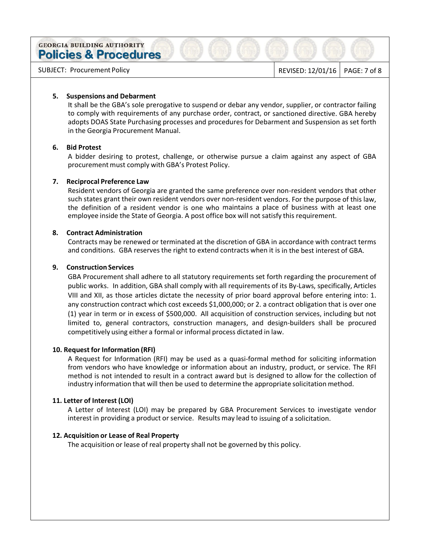SUBJECT: Procurement Policy **REVISED: 12/01/16** PAGE: 7 of 8

### **5. Suspensions and Debarment**

It shall be the GBA's sole prerogative to suspend or debar any vendor, supplier, or contractor failing to comply with requirements of any purchase order, contract, or sanctioned directive. GBA hereby adopts DOAS State Purchasing processes and procedures for Debarment and Suspension as set forth in the Georgia Procurement Manual.

### **6. Bid Protest**

A bidder desiring to protest, challenge, or otherwise pursue a claim against any aspect of GBA procurement must comply with GBA's Protest Policy.

### **7. Reciprocal Preference Law**

Resident vendors of Georgia are granted the same preference over non-resident vendors that other such states grant their own resident vendors over non-resident vendors. For the purpose of this law, the definition of a resident vendor is one who maintains a place of business with at least one employee inside the State of Georgia. A post office box will not satisfy this requirement.

### **8. Contract Administration**

Contracts may be renewed or terminated at the discretion of GBA in accordance with contract terms and conditions. GBA reserves the right to extend contracts when it is in the best interest of GBA.

### **9. Construction Services**

GBA Procurement shall adhere to all statutory requirements set forth regarding the procurement of public works. In addition, GBA shall comply with all requirements of its By-Laws, specifically, Articles VIII and XII, as those articles dictate the necessity of prior board approval before entering into: 1. any construction contract which cost exceeds \$1,000,000; or 2. a contract obligation that is over one (1) year in term or in excess of \$500,000. All acquisition of construction services, including but not limited to, general contractors, construction managers, and design-builders shall be procured competitively using either a formal or informal process dictated in law.

#### **10. Request for Information (RFI)**

A Request for Information (RFI) may be used as a quasi-formal method for soliciting information from vendors who have knowledge or information about an industry, product, or service. The RFI method is not intended to result in a contract award but is designed to allow for the collection of industry information that will then be used to determine the appropriate solicitation method.

#### **11. Letter of Interest (LOI)**

A Letter of Interest (LOI) may be prepared by GBA Procurement Services to investigate vendor interest in providing a product or service. Results may lead to issuing of a solicitation.

### **12. Acquisition or Lease of Real Property**

The acquisition or lease of real property shall not be governed by this policy.